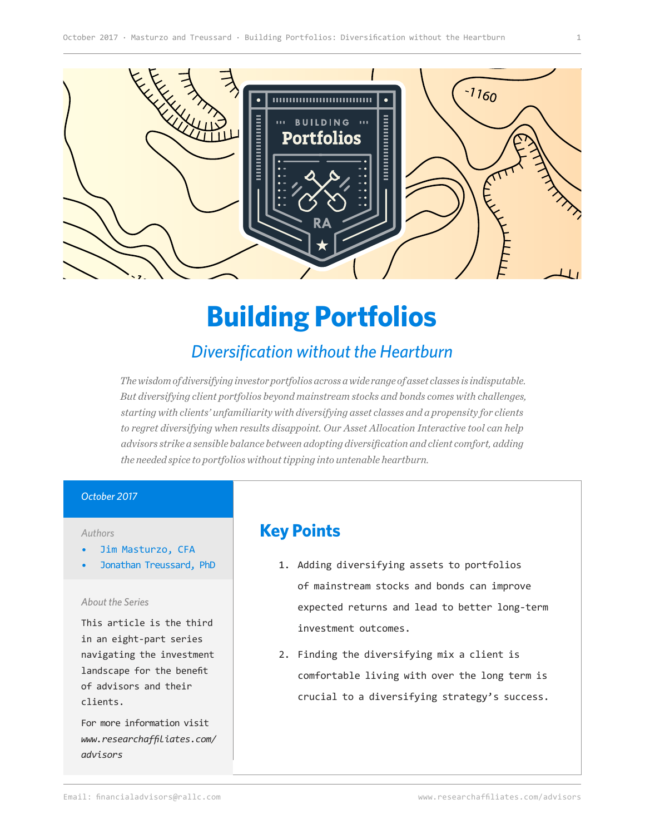

# **Building Portfolios**

# *Diversification without the Heartburn*

*The wisdom of diversifying investor portfolios across a wide range of asset classes is indisputable. But diversifying client portfolios beyond mainstream stocks and bonds comes with challenges, starting with clients' unfamiliarity with diversifying asset classes and a propensity for clients to regret diversifying when results disappoint. Our Asset Allocation Interactive tool can help advisors strike a sensible balance between adopting diversification and client comfort, adding the needed spice to portfolios without tipping into untenable heartburn.*

#### *October 2017*

#### *Authors*

- Jim Masturzo, CFA
- Jonathan Treussard, PhD

#### *About the Series*

This article is the third in an eight-part series navigating the investment landscape for the benefit of advisors and their clients.

For more information visit *[www.researchaffiliates.com/](http://www.researchaffiliates.com/en_us/advisors.html
) [advisors](http://www.researchaffiliates.com/en_us/advisors.html
)*

# **Key Points**

- 1. Adding diversifying assets to portfolios of mainstream stocks and bonds can improve expected returns and lead to better long-term investment outcomes.
- 2. Finding the diversifying mix a client is comfortable living with over the long term is crucial to a diversifying strategy's success.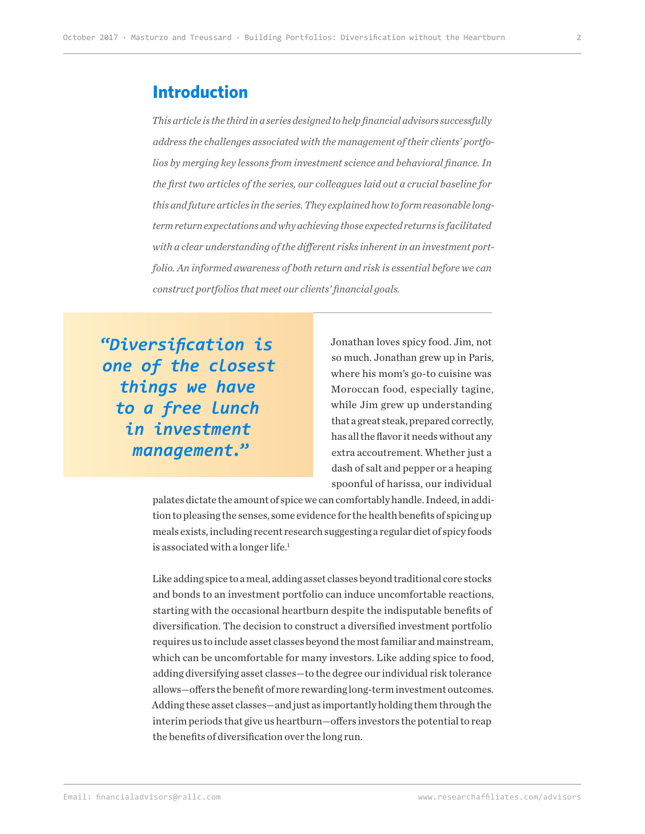#### **Introduction**

*This article is the third in a series designed to help financial advisors successfully address the challenges associated with the management of their clients' portfolios by merging key lessons from investment science and behavioral finance. In the first two articles of the series, our colleagues laid out a crucial baseline for this and future articles in the series. They explained how to form reasonable longterm return expectations and why achieving those expected returns is facilitated with a clear understanding of the different risks inherent in an investment portfolio. An informed awareness of both return and risk is essential before we can construct portfolios that meet our clients' financial goals.* 

**"***Diversification is one of the closest things we have to a free lunch in investment management.***"**

Jonathan loves spicy food. Jim, not so much. Jonathan grew up in Paris, where his mom's go-to cuisine was Moroccan food, especially tagine, while Jim grew up understanding that a great steak, prepared correctly, has all the flavor it needs without any extra accoutrement. Whether just a dash of salt and pepper or a heaping spoonful of harissa, our individual

palates dictate the amount of spice we can comfortably handle. Indeed, in addition to pleasing the senses, some evidence for the health benefits of spicing up meals exists, including recent research suggesting a regular diet of spicy foods is associated with a longer life.<sup>1</sup>

Like adding spice to a meal, adding asset classes beyond traditional core stocks and bonds to an investment portfolio can induce uncomfortable reactions, starting with the occasional heartburn despite the indisputable benefits of diversification. The decision to construct a diversified investment portfolio requires us to include asset classes beyond the most familiar and mainstream, which can be uncomfortable for many investors. Like adding spice to food, adding diversifying asset classes—to the degree our individual risk tolerance allows—offers the benefit of more rewarding long-term investment outcomes. Adding these asset classes—and just as importantly holding them through the interim periods that give us heartburn—offers investors the potential to reap the benefits of diversification over the long run.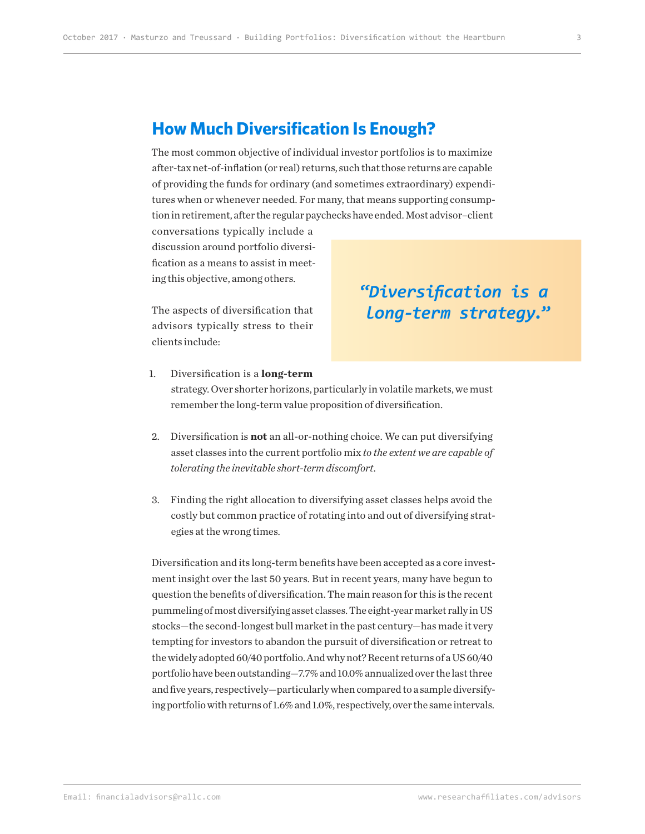### **How Much Diversification Is Enough?**

The most common objective of individual investor portfolios is to maximize after-tax net-of-inflation (or real) returns, such that those returns are capable of providing the funds for ordinary (and sometimes extraordinary) expenditures when or whenever needed. For many, that means supporting consumption in retirement, after the regular paychecks have ended. Most advisor–client

conversations typically include a discussion around portfolio diversification as a means to assist in meeting this objective, among others.

The aspects of diversification that advisors typically stress to their clients include:

# **"***Diversification is a long-term strategy.***"**

- 1. Diversification is a **long-term** strategy. Over shorter horizons, particularly in volatile markets, we must remember the long-term value proposition of diversification.
	- 2. Diversification is **not** an all-or-nothing choice. We can put diversifying asset classes into the current portfolio mix *to the extent we are capable of tolerating the inevitable short-term discomfort*.
	- 3. Finding the right allocation to diversifying asset classes helps avoid the costly but common practice of rotating into and out of diversifying strategies at the wrong times.

Diversification and its long-term benefits have been accepted as a core investment insight over the last 50 years. But in recent years, many have begun to question the benefits of diversification. The main reason for this is the recent pummeling of most diversifying asset classes. The eight-year market rally in US stocks—the second-longest bull market in the past century—has made it very tempting for investors to abandon the pursuit of diversification or retreat to the widely adopted 60/40 portfolio. And why not? Recent returns of a US 60/40 portfolio have been outstanding—7.7% and 10.0% annualized over the last three and five years, respectively—particularly when compared to a sample diversifying portfolio with returns of 1.6% and 1.0%, respectively, over the same intervals.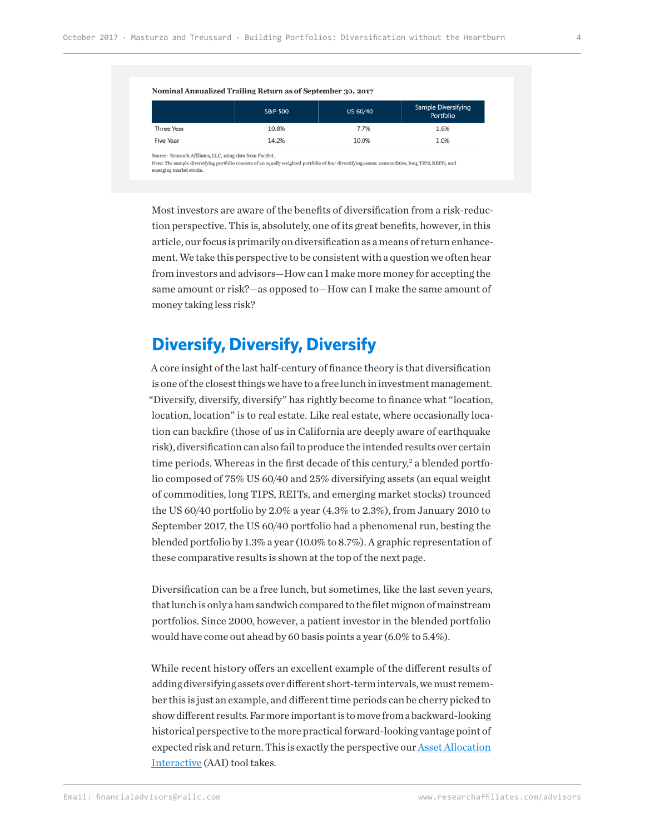|            | S&P 500 | US 60/40 | Sample Diversifying<br>Portfolio |
|------------|---------|----------|----------------------------------|
| Three Year | 10.8%   | 7.7%     | 1.6%                             |
| Five Year  | 14.2%   | 10.0%    | 1.0%                             |

Most investors are aware of the benefits of diversification from a risk-reduction perspective. This is, absolutely, one of its great benefits, however, in this article, our focus is primarily on diversification as a means of return enhancement. We take this perspective to be consistent with a question we often hear from investors and advisors—How can I make more money for accepting the same amount or risk?—as opposed to—How can I make the same amount of money taking less risk?

## **Diversify, Diversify, Diversify**

A core insight of the last half-century of finance theory is that diversification is one of the closest things we have to a free lunch in investment management. "Diversify, diversify, diversify" has rightly become to finance what "location, location, location" is to real estate. Like real estate, where occasionally location can backfire (those of us in California are deeply aware of earthquake risk), diversification can also fail to produce the intended results over certain time periods. Whereas in the first decade of this century,<sup>2</sup> a blended portfolio composed of 75% US 60/40 and 25% diversifying assets (an equal weight of commodities, long TIPS, REITs, and emerging market stocks) trounced the US 60/40 portfolio by 2.0% a year (4.3% to 2.3%), from January 2010 to September 2017, the US 60/40 portfolio had a phenomenal run, besting the blended portfolio by 1.3% a year (10.0% to 8.7%). A graphic representation of these comparative results is shown at the top of the next page.

Diversification can be a free lunch, but sometimes, like the last seven years, that lunch is only a ham sandwich compared to the filet mignon of mainstream portfolios. Since 2000, however, a patient investor in the blended portfolio would have come out ahead by 60 basis points a year (6.0% to 5.4%).

While recent history offers an excellent example of the different results of adding diversifying assets over different short-term intervals, we must remember this is just an example, and different time periods can be cherry picked to show different results. Far more important is to move from a backward-looking historical perspective to the more practical forward-looking vantage point of expected risk and return. This is exactly the perspective our **Asset Allocation** [Interactive](https://interactive.researchaffiliates.com/asset-allocation) (AAI) tool takes.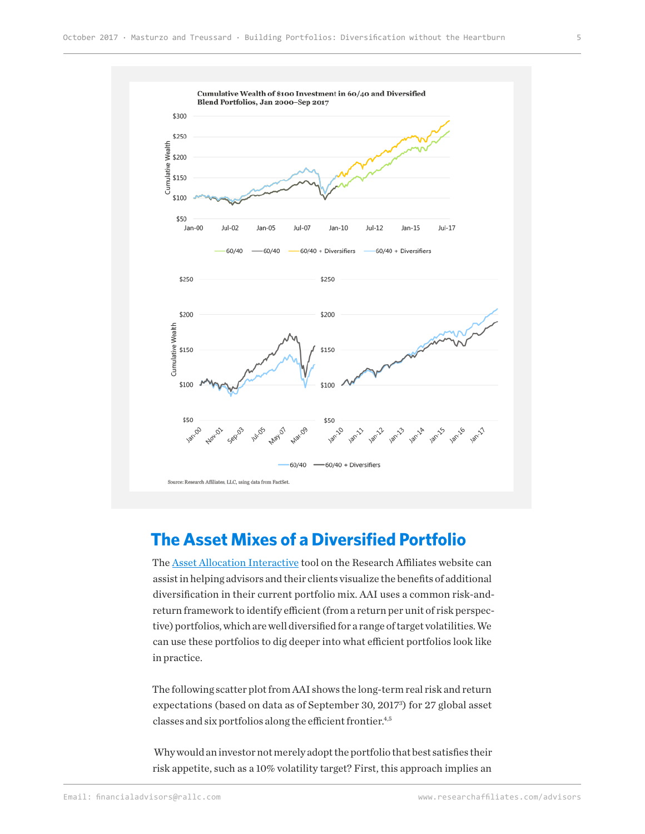

# **The Asset Mixes of a Diversified Portfolio**

The [Asset Allocation Interactive](https://interactive.researchaffiliates.com/asset-allocation) tool on the Research Affiliates website can assist in helping advisors and their clients visualize the benefits of additional diversification in their current portfolio mix. AAI uses a common risk-andreturn framework to identify efficient (from a return per unit of risk perspective) portfolios, which are well diversified for a range of target volatilities. We can use these portfolios to dig deeper into what efficient portfolios look like in practice.

The following scatter plot from AAI shows the long-term real risk and return expectations (based on data as of September 30, 20173 ) for 27 global asset classes and six portfolios along the efficient frontier.<sup>4,5</sup>

 Why would an investor not merely adopt the portfolio that best satisfies their risk appetite, such as a 10% volatility target? First, this approach implies an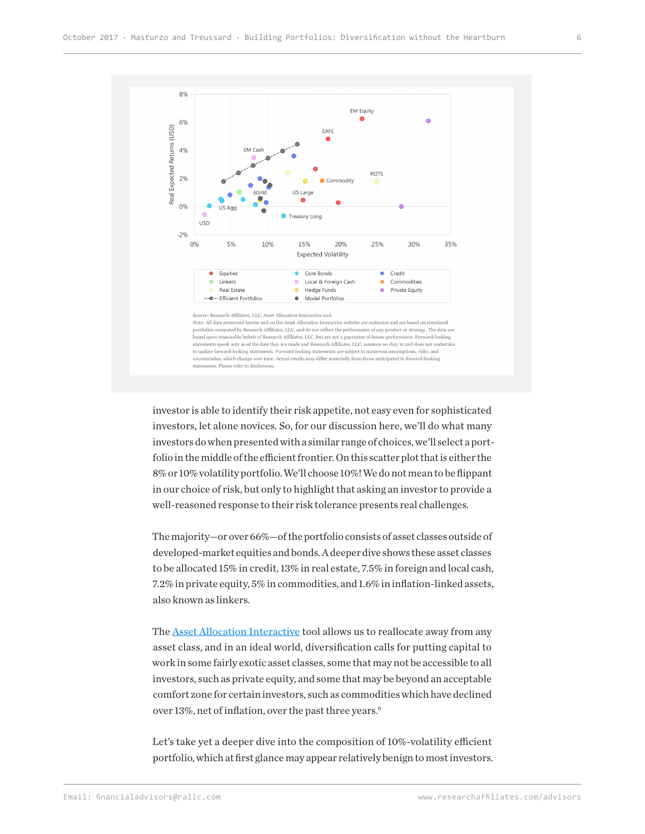

investor is able to identify their risk appetite, not easy even for sophisticated investors, let alone novices. So, for our discussion here, we'll do what many investors do when presented with a similar range of choices, we'll select a portfolio in the middle of the efficient frontier. On this scatter plot that is either the 8% or 10% volatility portfolio. We'll choose 10%! We do not mean to be flippant in our choice of risk, but only to highlight that asking an investor to provide a well-reasoned response to their risk tolerance presents real challenges.

The majority—or over 66%—of the portfolio consists of asset classes outside of developed-market equities and bonds. A deeper dive shows these asset classes to be allocated 15% in credit, 13% in real estate, 7.5% in foreign and local cash, 7.2% in private equity, 5% in commodities, and 1.6% in inflation-linked assets, also known as linkers.

The **Asset Allocation Interactive** tool allows us to reallocate away from any asset class, and in an ideal world, diversification calls for putting capital to work in some fairly exotic asset classes, some that may not be accessible to all investors, such as private equity, and some that may be beyond an acceptable comfort zone for certain investors, such as commodities which have declined over 13%, net of inflation, over the past three years.<sup>6</sup>

Let's take yet a deeper dive into the composition of 10%-volatility efficient portfolio, which at first glance may appear relatively benign to most investors.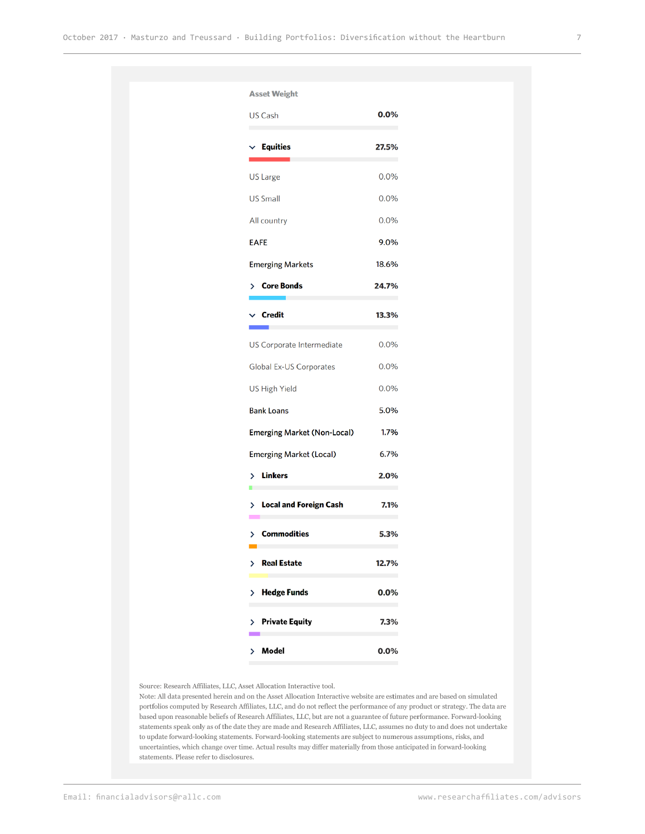| <b>Asset Weight</b>                |         |
|------------------------------------|---------|
| <b>US Cash</b>                     | $0.0\%$ |
| $\vee$ Equities                    | 27.5%   |
| US Large                           | 0.0%    |
| <b>US Small</b>                    | 0.0%    |
| All country                        | 0.0%    |
| <b>EAFE</b>                        | 9.0%    |
| <b>Emerging Markets</b>            | 18.6%   |
| <b>Core Bonds</b><br>≻             | 24.7%   |
| ∕ Credit                           | 13.3%   |
| US Corporate Intermediate          | 0.0%    |
| Global Ex-US Corporates            | 0.0%    |
| <b>US High Yield</b>               | 0.0%    |
| <b>Bank Loans</b>                  | 5.0%    |
| <b>Emerging Market (Non-Local)</b> | 1.7%    |
| <b>Emerging Market (Local)</b>     | 6.7%    |
| > Linkers                          | 2.0%    |
| > Local and Foreign Cash           | 7.1%    |
| <b>Commodities</b>                 | 5.3%    |
| > Real Estate                      | 12.7%   |
| <b>Hedge Funds</b><br>⋋            | 0.0%    |
| > Private Equity                   | 7.3%    |
| > Model                            | 0.0%    |
|                                    |         |

Source: Research Affiliates, LLC, Asset Allocation Interactive tool.

Note: All data presented herein and on the Asset Allocation Interactive website are estimates and are based on simulated portfolios computed by Research Affiliates, LLC, and do not reflect the performance of any product or strategy. The data are based upon reasonable beliefs of Research Affiliates, LLC, but are not a guarantee of future performance. Forward-looking statements speak only as of the date they are made and Research Affiliates, LLC, assumes no duty to and does not undertake to update forward-looking statements. Forward-looking statements are subject to numerous assumptions, risks, and uncertainties, which change over time. Actual results may differ materially from those anticipated in forward-looking statements. Please refer to disclosures.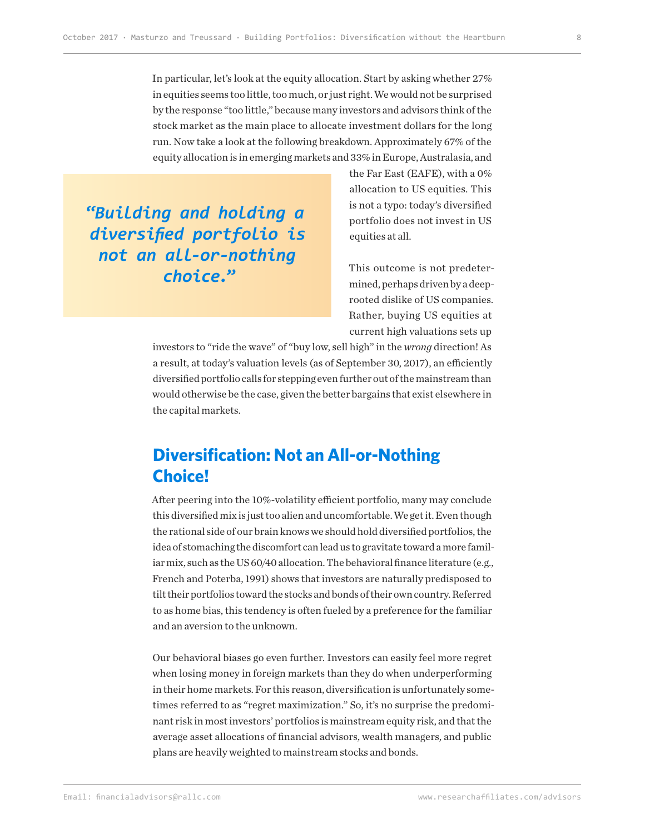In particular, let's look at the equity allocation. Start by asking whether 27% in equities seems too little, too much, or just right. We would not be surprised by the response "too little," because many investors and advisors think of the stock market as the main place to allocate investment dollars for the long run. Now take a look at the following breakdown. Approximately 67% of the equity allocation is in emerging markets and 33% in Europe, Australasia, and

**"***Building and holding a diversified portfolio is not an all-or-nothing choice.***"**

the Far East (EAFE), with a 0% allocation to US equities. This is not a typo: today's diversified portfolio does not invest in US equities at all.

This outcome is not predetermined, perhaps driven by a deeprooted dislike of US companies. Rather, buying US equities at current high valuations sets up

investors to "ride the wave" of "buy low, sell high" in the *wrong* direction! As a result, at today's valuation levels (as of September 30, 2017), an efficiently diversified portfolio calls for stepping even further out of the mainstream than would otherwise be the case, given the better bargains that exist elsewhere in the capital markets.

# **Diversification: Not an All-or-Nothing Choice!**

After peering into the 10%-volatility efficient portfolio, many may conclude this diversified mix is just too alien and uncomfortable. We get it. Even though the rational side of our brain knows we should hold diversified portfolios, the idea of stomaching the discomfort can lead us to gravitate toward a more familiar mix, such as the US 60/40 allocation. The behavioral finance literature (e.g., French and Poterba, 1991) shows that investors are naturally predisposed to tilt their portfolios toward the stocks and bonds of their own country. Referred to as home bias, this tendency is often fueled by a preference for the familiar and an aversion to the unknown.

Our behavioral biases go even further. Investors can easily feel more regret when losing money in foreign markets than they do when underperforming in their home markets. For this reason, diversification is unfortunately sometimes referred to as "regret maximization." So, it's no surprise the predominant risk in most investors' portfolios is mainstream equity risk, and that the average asset allocations of financial advisors, wealth managers, and public plans are heavily weighted to mainstream stocks and bonds.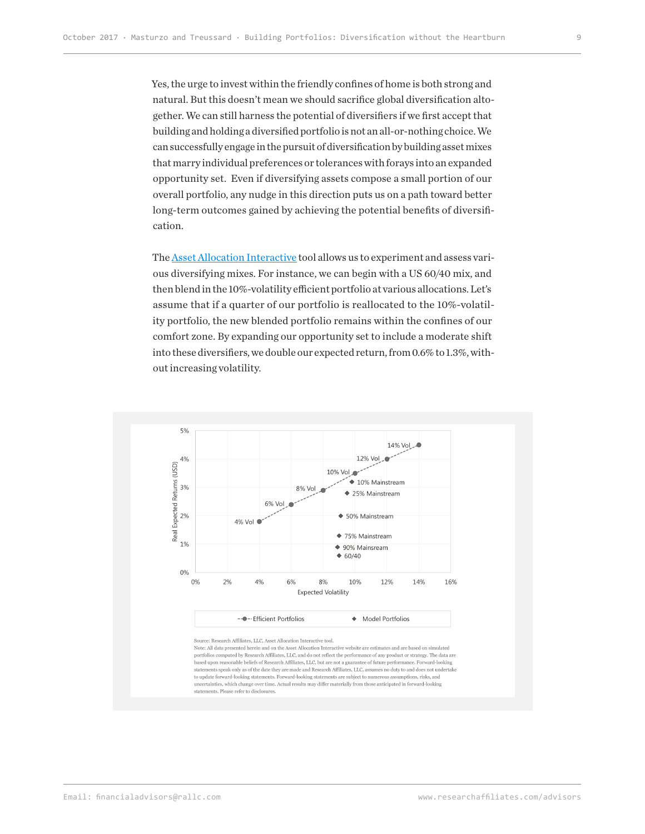Yes, the urge to invest within the friendly confines of home is both strong and natural. But this doesn't mean we should sacrifice global diversification altogether. We can still harness the potential of diversifiers if we first accept that building and holding a diversified portfolio is not an all-or-nothing choice. We can successfully engage in the pursuit of diversification by building asset mixes that marry individual preferences or tolerances with forays into an expanded opportunity set. Even if diversifying assets compose a small portion of our overall portfolio, any nudge in this direction puts us on a path toward better long-term outcomes gained by achieving the potential benefits of diversification.

The [Asset Allocation Interactive](https://interactive.researchaffiliates.com/asset-allocation/#!/?currency=USD&model=ER&scale=LINEAR&terms=NOMINAL) tool allows us to experiment and assess various diversifying mixes. For instance, we can begin with a US 60/40 mix, and then blend in the 10%-volatility efficient portfolio at various allocations. Let's assume that if a quarter of our portfolio is reallocated to the 10%-volatility portfolio, the new blended portfolio remains within the confines of our comfort zone. By expanding our opportunity set to include a moderate shift into these diversifiers, we double our expected return, from 0.6% to 1.3%, without increasing volatility.

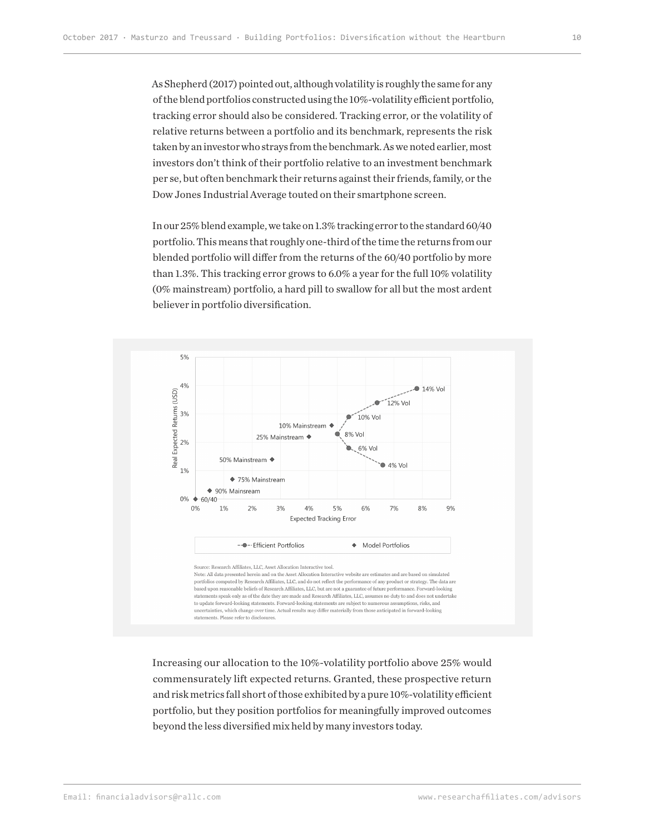As Shepherd (2017) pointed out, although volatility is roughly the same for any of the blend portfolios constructed using the 10%-volatility efficient portfolio, tracking error should also be considered. Tracking error, or the volatility of relative returns between a portfolio and its benchmark, represents the risk taken by an investor who strays from the benchmark. As we noted earlier, most investors don't think of their portfolio relative to an investment benchmark per se, but often benchmark their returns against their friends, family, or the Dow Jones Industrial Average touted on their smartphone screen.

In our 25% blend example, we take on 1.3% tracking error to the standard 60/40 portfolio. This means that roughly one-third of the time the returns from our blended portfolio will differ from the returns of the 60/40 portfolio by more than 1.3%. This tracking error grows to 6.0% a year for the full 10% volatility (0% mainstream) portfolio, a hard pill to swallow for all but the most ardent believer in portfolio diversification.



Increasing our allocation to the 10%-volatility portfolio above 25% would commensurately lift expected returns. Granted, these prospective return and risk metrics fall short of those exhibited by a pure 10%-volatility efficient portfolio, but they position portfolios for meaningfully improved outcomes beyond the less diversified mix held by many investors today.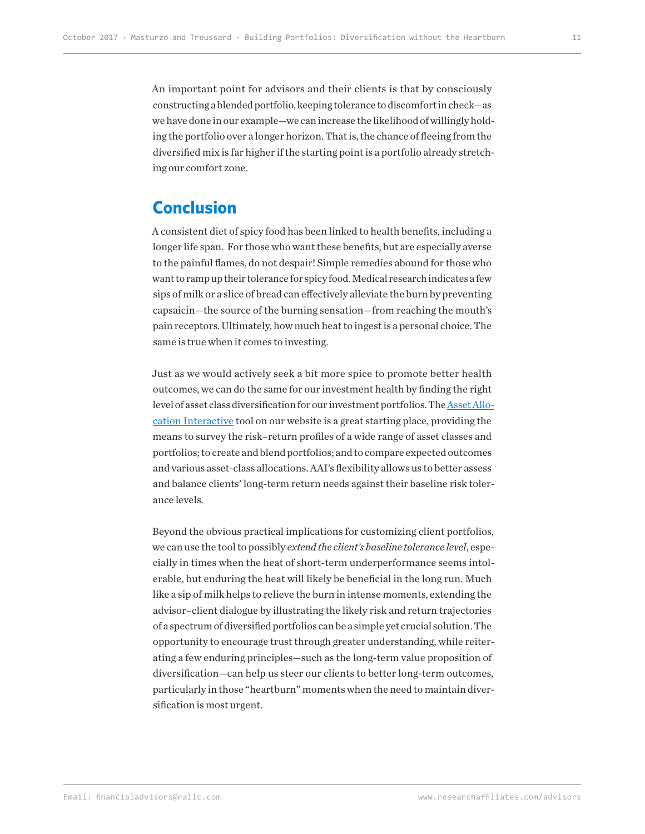An important point for advisors and their clients is that by consciously constructing a blended portfolio, keeping tolerance to discomfort in check—as we have done in our example—we can increase the likelihood of willingly holding the portfolio over a longer horizon. That is, the chance of fleeing from the diversified mix is far higher if the starting point is a portfolio already stretching our comfort zone.

#### **Conclusion**

A consistent diet of spicy food has been linked to health benefits, including a longer life span. For those who want these benefits, but are especially averse to the painful flames, do not despair! Simple remedies abound for those who want to ramp up their tolerance for spicy food. Medical research indicates a few sips of milk or a slice of bread can effectively alleviate the burn by preventing capsaicin—the source of the burning sensation—from reaching the mouth's pain receptors. Ultimately, how much heat to ingest is a personal choice. The same is true when it comes to investing.

Just as we would actively seek a bit more spice to promote better health outcomes, we can do the same for our investment health by finding the right level of asset class diversification for our investment portfolios. The **Asset Allo**[cation Interactive](https://interactive.researchaffiliates.com/asset-allocation) tool on our website is a great starting place, providing the means to survey the risk–return profiles of a wide range of asset classes and portfolios; to create and blend portfolios; and to compare expected outcomes and various asset-class allocations. AAI's flexibility allows us to better assess and balance clients' long-term return needs against their baseline risk tolerance levels.

Beyond the obvious practical implications for customizing client portfolios, we can use the tool to possibly *extend the client's baseline tolerance level*, especially in times when the heat of short-term underperformance seems intolerable, but enduring the heat will likely be beneficial in the long run. Much like a sip of milk helps to relieve the burn in intense moments, extending the advisor–client dialogue by illustrating the likely risk and return trajectories of a spectrum of diversified portfolios can be a simple yet crucial solution. The opportunity to encourage trust through greater understanding, while reiterating a few enduring principles—such as the long-term value proposition of diversification—can help us steer our clients to better long-term outcomes, particularly in those "heartburn" moments when the need to maintain diversification is most urgent.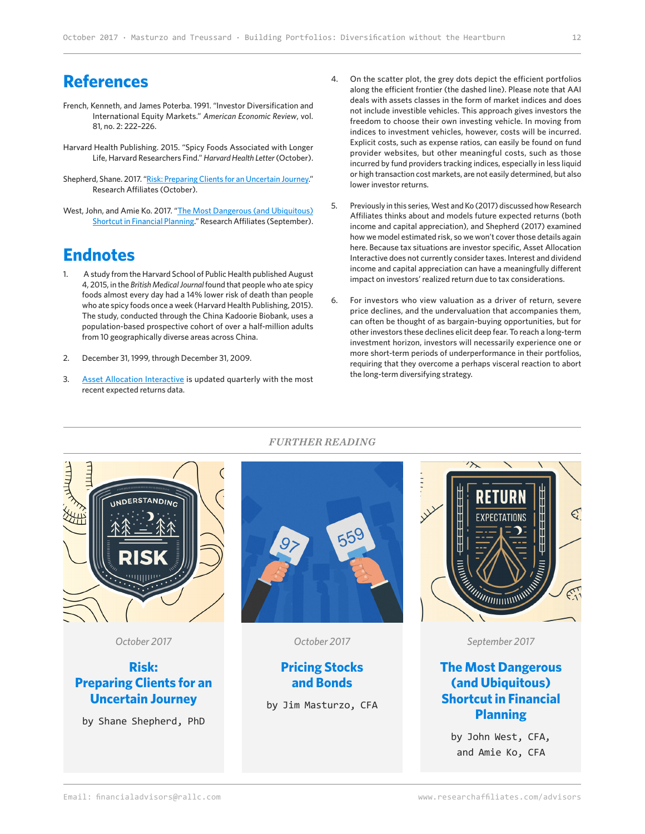## **References**

- French, Kenneth, and James Poterba. 1991. "Investor Diversification and International Equity Markets." *American Economic Review*, vol. 81, no. 2: 222–226.
- Harvard Health Publishing. 2015. "Spicy Foods Associated with Longer Life, Harvard Researchers Find." *Harvard Health Letter* (October).
- Shepherd, Shane. 2017. ["Risk: Preparing Clients for an Uncertain Journey.](https://www.researchaffiliates.com/en_us/publications/articles/636_risk_preparing_clients_for_an_uncertain_journey.html)" Research Affiliates (October).
- West, John, and Amie Ko. 2017. "[The Most Dangerous \(and Ubiquitous\)](https://www.researchaffiliates.com/en_us/publications/articles/634-ignoring-starting-yields-nabbing-this-usual-suspect-in-poor-investment-outcomes.html)  [Shortcut in Financial Planning](https://www.researchaffiliates.com/en_us/publications/articles/634-ignoring-starting-yields-nabbing-this-usual-suspect-in-poor-investment-outcomes.html)." Research Affiliates (September).

## **Endnotes**

- 1. A study from the Harvard School of Public Health published August 4, 2015, in the *British Medical Journal* found that people who ate spicy foods almost every day had a 14% lower risk of death than people who ate spicy foods once a week (Harvard Health Publishing, 2015). The study, conducted through the China Kadoorie Biobank, uses a population-based prospective cohort of over a half-million adults from 10 geographically diverse areas across China.
- 2. December 31, 1999, through December 31, 2009.
- 3. [Asset Allocation Interactive](https://interactive.researchaffiliates.com/asset-allocation) is updated quarterly with the most recent expected returns data.
- 4. On the scatter plot, the grey dots depict the efficient portfolios along the efficient frontier (the dashed line). Please note that AAI deals with assets classes in the form of market indices and does not include investible vehicles. This approach gives investors the freedom to choose their own investing vehicle. In moving from indices to investment vehicles, however, costs will be incurred. Explicit costs, such as expense ratios, can easily be found on fund provider websites, but other meaningful costs, such as those incurred by fund providers tracking indices, especially in less liquid or high transaction cost markets, are not easily determined, but also lower investor returns.
- 5. Previously in this series, West and Ko (2017) discussed how Research Affiliates thinks about and models future expected returns (both income and capital appreciation), and Shepherd (2017) examined how we model estimated risk, so we won't cover those details again here. Because tax situations are investor specific, Asset Allocation Interactive does not currently consider taxes. Interest and dividend income and capital appreciation can have a meaningfully different impact on investors' realized return due to tax considerations.
- 6. For investors who view valuation as a driver of return, severe price declines, and the undervaluation that accompanies them, can often be thought of as bargain-buying opportunities, but for other investors these declines elicit deep fear. To reach a long-term investment horizon, investors will necessarily experience one or more short-term periods of underperformance in their portfolios, requiring that they overcome a perhaps visceral reaction to abort the long-term diversifying strategy.



*FURTHER READING*